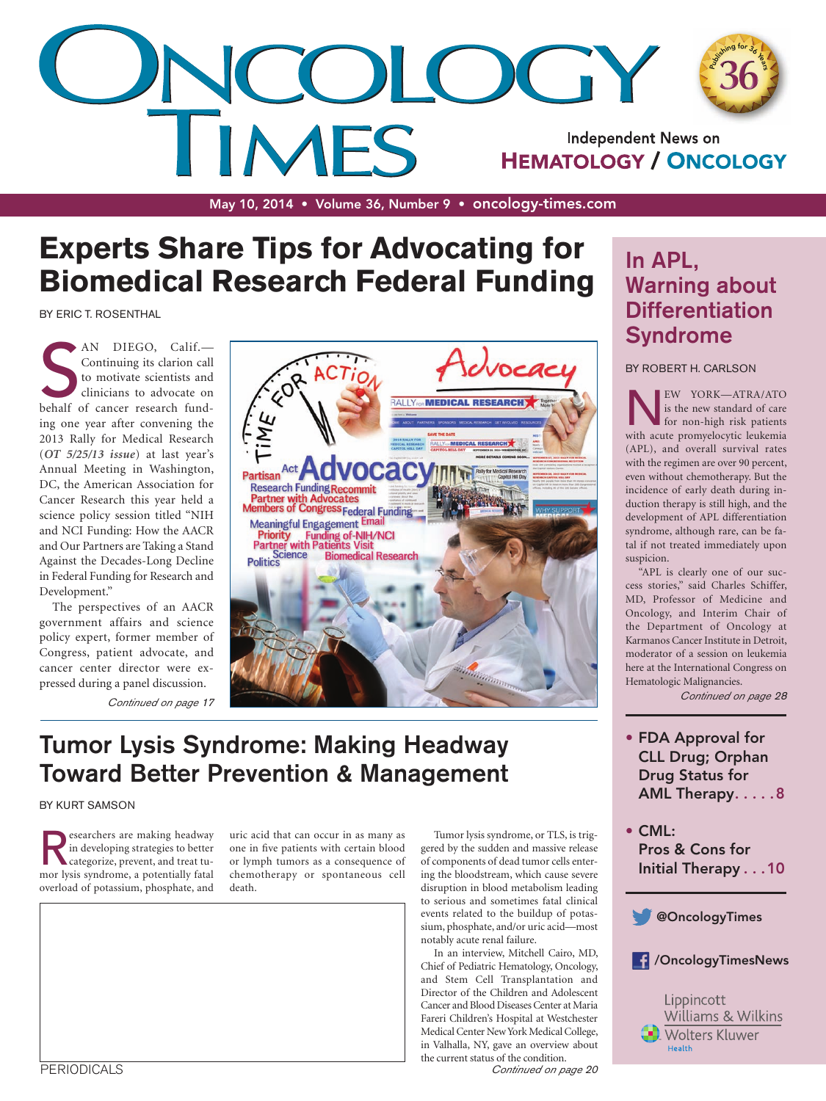

May 10, 2014 • Volume 36, Number 9 • [oncology-times.com](http://www.oncology-times.com)

## **Experts Share Tips for Advocating for Biomedical Research Federal Funding**

BY ERIC T. ROSENTHAL

AN DIEGO, Calif.<br>
Continuing its clarion call<br>
to motivate scientists and<br>
clinicians to advocate on<br>
behalf of cancer research fund-AN DIEGO, Calif.— Continuing its clarion call to motivate scientists and clinicians to advocate on ing one year after convening the 2013 Rally for Medical Research (*[OT 5/25/13 issue](http://journals.lww.com/oncology-times/Fulltext/2013/05250/ERIC_ROSENTHAL_REPORTS__How_the_Rally_for_Medical.5.aspx)*) at last year's Annual Meeting in Washington, DC, the American Association for Cancer Research this year held a science policy session titled "NIH and NCI Funding: How the AACR and Our Partners are Taking a Stand Against the Decades-Long Decline in Federal Funding for Research and Development."

The perspectives of an AACR government affairs and science policy expert, former member of Congress, patient advocate, and cancer center director were expressed during a panel discussion.

*Continued on page* 17



### Tumor Lysis Syndrome: Making Headway Toward Better Prevention & Management

#### BY KURT SAMSON

esearchers are making headway in developing strategies to better categorize, prevent, and treat tumor lysis syndrome, a potentially fatal overload of potassium, phosphate, and

uric acid that can occur in as many as one in five patients with certain blood or lymph tumors as a consequence of chemotherapy or spontaneous cell death.

Tumor lysis syndrome, or TLS, is triggered by the sudden and massive release of components of dead tumor cells entering the bloodstream, which cause severe disruption in blood metabolism leading to serious and sometimes fatal clinical events related to the buildup of potassium, phosphate, and/or uric acid—most notably acute renal failure.

In an interview, Mitchell Cairo, MD, Chief of Pediatric Hematology, Oncology, and Stem Cell Transplantation and Director of the Children and Adolescent Cancer and Blood Diseases Center at Maria Fareri Children's Hospital at Westchester Medical Center New York Medical College, in Valhalla, NY, gave an overview about the current status of the condition.

*Continued on page* 20

### In APL, Warning about **Differentiation** Syndrome

BY ROBERT H. CARLSON

**NEW YORK—ATRA/ATO**<br>is the new standard of care<br>for non-high risk patients<br>with acute promyelocytic leukemia is the new standard of care for non-high risk patients (APL), and overall survival rates with the regimen are over 90 percent, even without chemotherapy. But the incidence of early death during induction therapy is still high, and the development of APL differentiation syndrome, although rare, can be fatal if not treated immediately upon suspicion.

"APL is clearly one of our success stories," said Charles Schiffer, MD, Professor of Medicine and Oncology, and Interim Chair of the Department of Oncology at Karmanos Cancer Institute in Detroit, moderator of a session on leukemia here at the International Congress on Hematologic Malignancies.

*Continued on page* 28

- FDA Approval for CLL Drug; Orphan Drug Status for AML Therapy.....8
- CML: Pros & Cons for Initial Therapy . . . 10





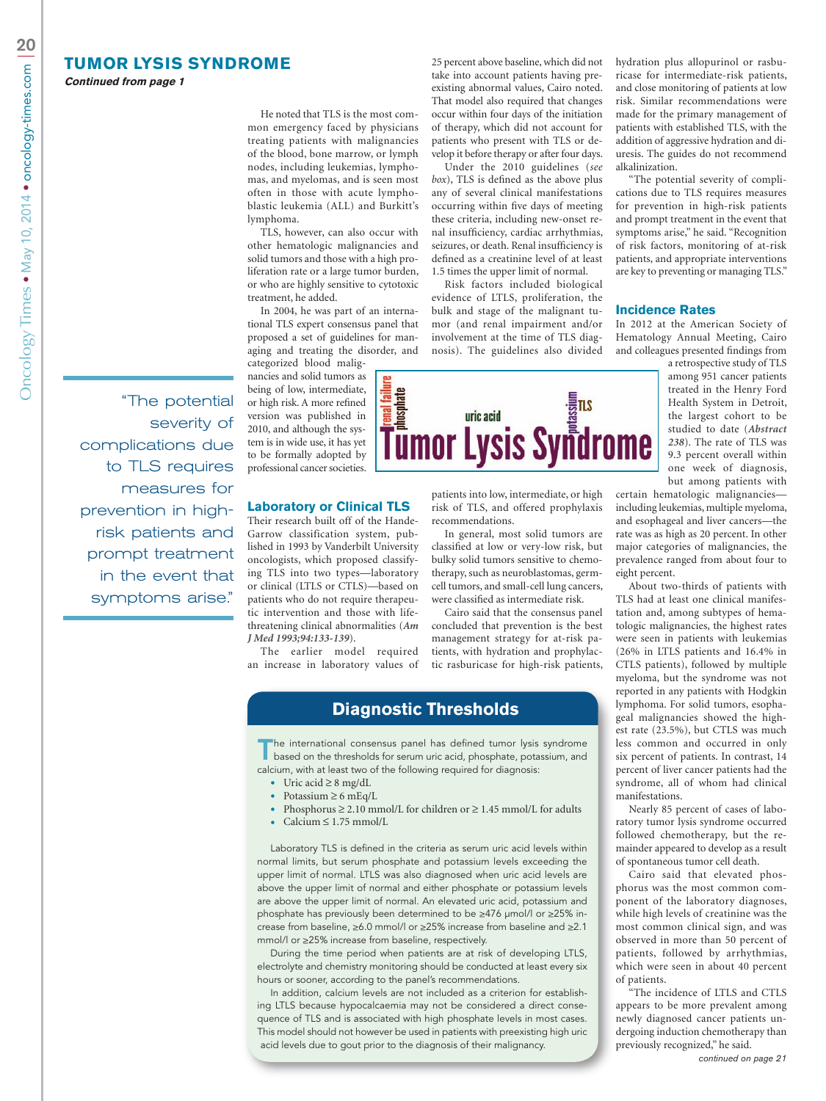#### **TUMOR LYSIS SYNDROME**

**Continued from page 1**

He noted that TLS is the most common emergency faced by physicians treating patients with malignancies of the blood, bone marrow, or lymph nodes, including leukemias, lymphomas, and myelomas, and is seen most often in those with acute lymphoblastic leukemia (ALL) and Burkitt's lymphoma.

TLS, however, can also occur with other hematologic malignancies and solid tumors and those with a high proliferation rate or a large tumor burden, or who are highly sensitive to cytotoxic treatment, he added.

In 2004, he was part of an international TLS expert consensus panel that proposed a set of guidelines for managing and treating the disorder, and categorized blood malig-

nancies and solid tumors as being of low, intermediate, or high risk. A more refined version was published in 2010, and although the system is in wide use, it has yet to be formally adopted by professional cancer societies.

#### **Laboratory or Clinical TLS**

Their research built off of the Hande-Garrow classification system, published in 1993 by Vanderbilt University oncologists, which proposed classifying TLS into two types—laboratory or clinical (LTLS or CTLS)—based on patients who do not require therapeutic intervention and those with lifethreatening clinical abnormalities (*[Am](http://www.amjmed.com/article/0002-9343(93)90174-N/abstract) [J Med 1993;94:133-139](http://www.amjmed.com/article/0002-9343(93)90174-N/abstract)*).

The earlier model required an increase in laboratory values of

**Diagnostic Thresholds**

The international consensus panel has defined tumor lysis syndrome based on the thresholds for serum uric acid, phosphate, potassium, and calcium, with at least two of the following required for diagnosis:

- Uric acid  $\geq 8$  mg/dL
- Potassium  $\geq 6$  mEq/L
- Phosphorus  $\geq 2.10$  mmol/L for children or  $\geq 1.45$  mmol/L for adults
- $Calcium \leq 1.75$  mmol/L

Laboratory TLS is defined in the criteria as serum uric acid levels within normal limits, but serum phosphate and potassium levels exceeding the upper limit of normal. LTLS was also diagnosed when uric acid levels are above the upper limit of normal and either phosphate or potassium levels are above the upper limit of normal. An elevated uric acid, potassium and phosphate has previously been determined to be ≥476 μmol/l or ≥25% increase from baseline, ≥6.0 mmol/l or ≥25% increase from baseline and ≥2.1 mmol/l or ≥25% increase from baseline, respectively.

During the time period when patients are at risk of developing LTLS, electrolyte and chemistry monitoring should be conducted at least every six hours or sooner, according to the panel's recommendations.

In addition, calcium levels are not included as a criterion for establishing LTLS because hypocalcaemia may not be considered a direct consequence of TLS and is associated with high phosphate levels in most cases. This model should not however be used in patients with preexisting high uric acid levels due to gout prior to the diagnosis of their malignancy.

hydration plus allopurinol or rasburicase for intermediate-risk patients, and close monitoring of patients at low risk. Similar recommendations were made for the primary management of patients with established TLS, with the addition of aggressive hydration and diuresis. The guides do not recommend alkalinization.

25 percent above baseline, which did not take into account patients having preexisting abnormal values, Cairo noted. That model also required that changes occur within four days of the initiation of therapy, which did not account for patients who present with TLS or develop it before therapy or after four days. Under the 2010 guidelines (*see box*), TLS is defined as the above plus any of several clinical manifestations occurring within five days of meeting these criteria, including new-onset renal insufficiency, cardiac arrhythmias, seizures, or death. Renal insufficiency is defined as a creatinine level of at least 1.5 times the upper limit of normal. Risk factors included biological evidence of LTLS, proliferation, the bulk and stage of the malignant tumor (and renal impairment and/or involvement at the time of TLS diagnosis). The guidelines also divided

patients into low, intermediate, or high risk of TLS, and offered prophylaxis

**<u>ENERGINE AND SURFACTS Syndrome</u>** 

In general, most solid tumors are classified at low or very-low risk, but bulky solid tumors sensitive to chemotherapy, such as neuroblastomas, germcell tumors, and small-cell lung cancers, were classified as intermediate risk. Cairo said that the consensus panel concluded that prevention is the best management strategy for at-risk patients, with hydration and prophylactic rasburicase for high-risk patients,

recommendations.

"The potential severity of complications due to TLS requires measures for prevention in high-risk patients and prompt treatment in the event that symptoms arise," he said. "Recognition of risk factors, monitoring of at-risk patients, and appropriate interventions are key to preventing or managing TLS."

#### **Incidence Rates**

In 2012 at the American Society of Hematology Annual Meeting, Cairo and colleagues presented findings from

a retrospective study of TLS among 951 cancer patients treated in the Henry Ford Health System in Detroit, the largest cohort to be studied to date (*[Abstract](https://ash.confex.com/ash/2012/webprogram/Paper47432.html)  [238](https://ash.confex.com/ash/2012/webprogram/Paper47432.html)*). The rate of TLS was 9.3 percent overall within one week of diagnosis, but among patients with

certain hematologic malignancies including leukemias, multiple myeloma, and esophageal and liver cancers—the rate was as high as 20 percent. In other major categories of malignancies, the prevalence ranged from about four to eight percent.

About two-thirds of patients with TLS had at least one clinical manifestation and, among subtypes of hematologic malignancies, the highest rates were seen in patients with leukemias (26% in LTLS patients and 16.4% in CTLS patients), followed by multiple myeloma, but the syndrome was not reported in any patients with Hodgkin lymphoma. For solid tumors, esophageal malignancies showed the highest rate (23.5%), but CTLS was much less common and occurred in only six percent of patients. In contrast, 14 percent of liver cancer patients had the syndrome, all of whom had clinical manifestations.

Nearly 85 percent of cases of laboratory tumor lysis syndrome occurred followed chemotherapy, but the remainder appeared to develop as a result of spontaneous tumor cell death.

Cairo said that elevated phosphorus was the most common component of the laboratory diagnoses, while high levels of creatinine was the most common clinical sign, and was observed in more than 50 percent of patients, followed by arrhythmias, which were seen in about 40 percent of patients.

"The incidence of LTLS and CTLS appears to be more prevalent among newly diagnosed cancer patients undergoing induction chemotherapy than previously recognized," he said.

"The potential severity of complications due to TLS requires measures for prevention in highrisk patients and prompt treatment in the event that symptoms arise."

*continued on page 21*